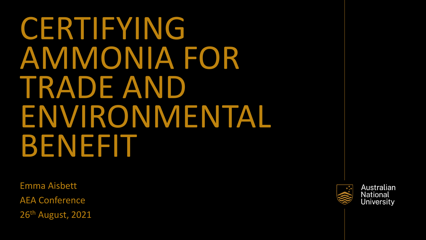CERTIFYING AMMONIA FOR TRADE AND ENVIRONMENTAL BENEFIT

Emma Aisbett AEA Conference 26th August, 2021

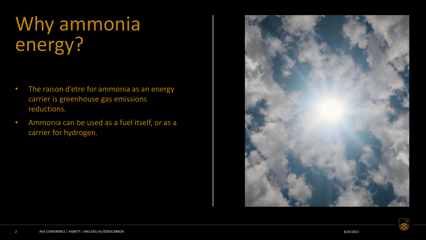# Why ammonia energy?

- The raison d'etre for ammonia as an energy carrier is greenhouse gas emissions reductions.
- Ammonia can be used as a fuel itself, or as a carrier for hydrogen.



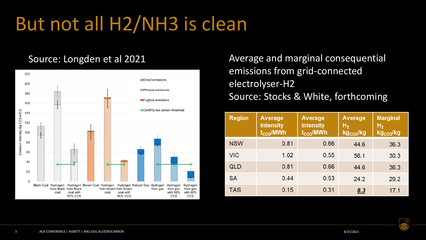# But not all H2/NH3 is clean



Source: Longden et al 2021 **Average and marginal consequential** emissions from grid-connected electrolyser-H2 Source: Stocks & White, forthcoming

| <b>Region</b> | Average<br><b>intensity</b><br>$t_{CO2}$ /MWh | Average<br><b>intensity</b><br>$t_{CO2}$ /MWh | Average<br>H <sub>2</sub><br>kg <sub>co2</sub> /kg | <b>Marginal</b><br>H <sub>2</sub><br>kg <sub>co2</sub> /kg |
|---------------|-----------------------------------------------|-----------------------------------------------|----------------------------------------------------|------------------------------------------------------------|
| <b>NSW</b>    | 0.81                                          | 0.66                                          | 44.6                                               | 36.3                                                       |
| <b>VIC</b>    | 1.02                                          | 0.55                                          | 56.1                                               | 30.3                                                       |
| QLD           | 0.81                                          | 0.66                                          | 44.6                                               | 36.3                                                       |
| SA            | 0.44                                          | 0.53                                          | 24.2                                               | 29.2                                                       |
| TAS           | 0.15                                          | 0.31                                          | <u>8.3</u>                                         | 17.1                                                       |

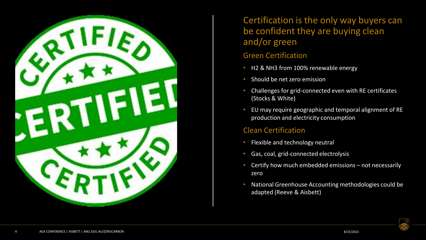

### Certification is the only way buyers can be confident they are buying clean and/or green

### Green Certification

- H2 & NH3 from 100% renewable energy
- Should be net zero emission
- Challenges for grid-connected even with RE certificates (Stocks & White)
- EU may require geographic and temporal alignment of RE production and electricity consumption

### Clean Certification

- Flexible and technology neutral
- Gas, coal, grid-connected electrolysis
- Certify how much embedded emissions not necessarily zero
- National Greenhouse Accounting methodologies could be adapted (Reeve & Aisbett)

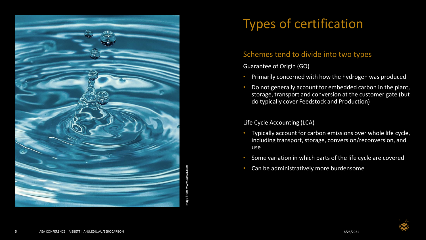

### Types of certification

### Schemes tend to divide into two types

Guarantee of Origin (GO)

- Primarily concerned with how the hydrogen was produced
- Do not generally account for embedded carbon in the plant, storage, transport and conversion at the customer gate (but do typically cover Feedstock and Production)

#### Life Cycle Accounting (LCA)

- Typically account for carbon emissions over whole life cycle, including transport, storage, conversion/reconversion, and use
- Some variation in which parts of the life cycle are covered
- Can be administratively more burdensome

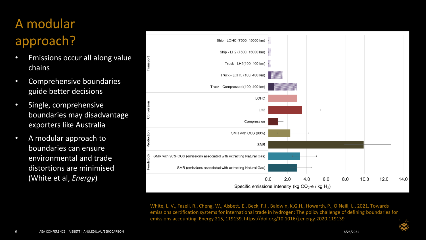## A modular approach?

- Emissions occur all along value chains
- Comprehensive boundaries guide better decisions
- Single, comprehensive boundaries may disadvantage exporters like Australia
- A modular approach to boundaries can ensure environmental and trade distortions are minimised (White et al, *Energy*)



White, L. V., Fazeli, R., Cheng, W., Aisbett, E., Beck, F.J., Baldwin, K.G.H., Howarth, P., O'Neill, L., 2021. Towards emissions certification systems for international trade in hydrogen: The policy challenge of defining boundaries for emissions accounting. Energy 215, 119139. https://doi.org/10.1016/j.energy.2020.119139